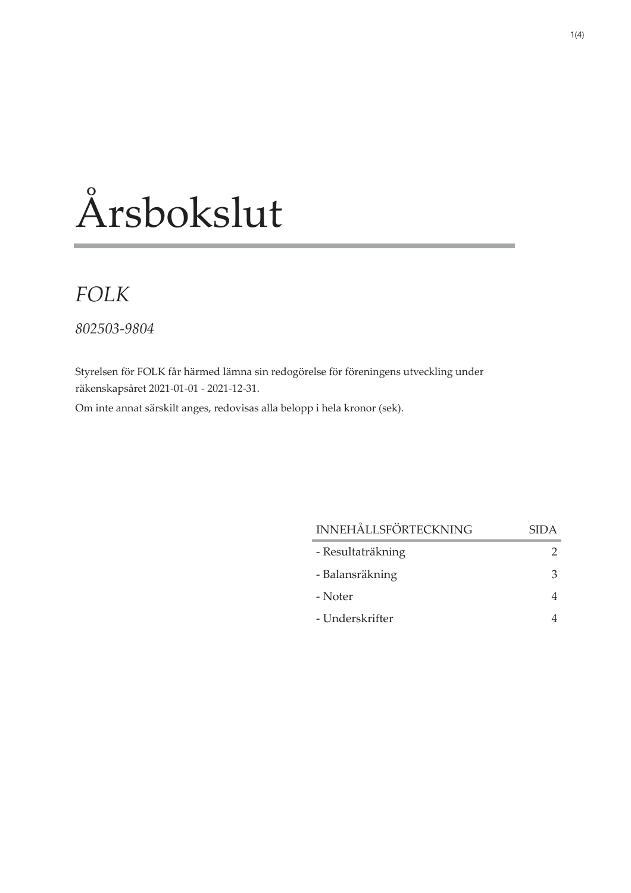# Årsbokslut

## **FOLK**

802503-9804

Styrelsen för FOLK får härmed lämna sin redogörelse för föreningens utveckling under räkenskapsåret 2021-01-01 - 2021-12-31.

Om inte annat särskilt anges, redovisas alla belopp i hela kronor (sek).

| <b>INNEHÅLLSFÖRTECKNING</b> | <b>SIDA</b> |
|-----------------------------|-------------|
| - Resultaträkning           |             |
| - Balansräkning             | 3           |
| - Noter                     |             |
| - Underskrifter             |             |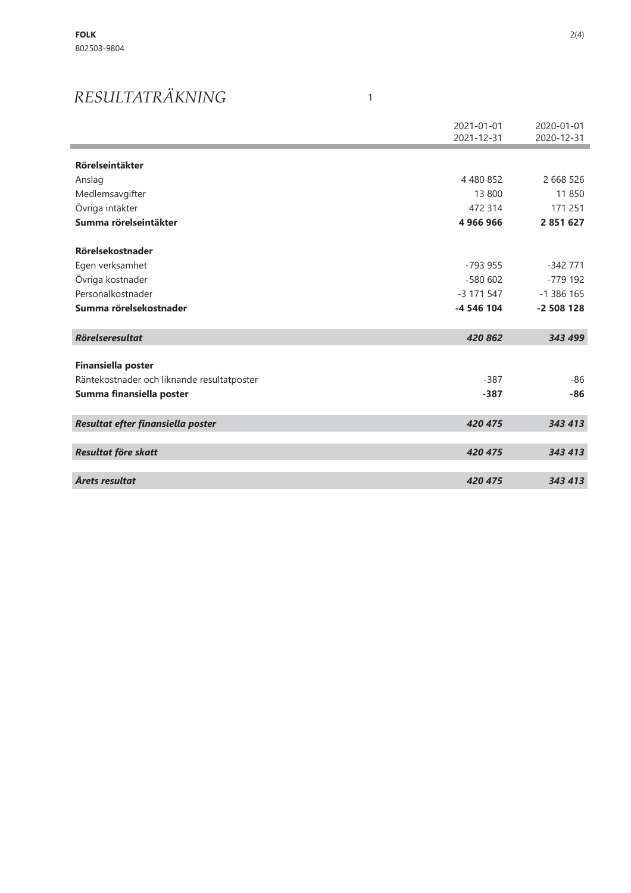## RESULTATRÄKNING

|                                            | 2021-01-01<br>2021-12-31 | 2020-01-01<br>2020-12-31 |
|--------------------------------------------|--------------------------|--------------------------|
| <b>Rörelseintäkter</b>                     |                          |                          |
| Anslag                                     | 4 480 852                | 2 668 526                |
| Medlemsavgifter                            | 13 800                   | 11850                    |
| Övriga intäkter                            | 472 314                  | 171 251                  |
| Summa rörelseintäkter                      | 4 966 966                | 2 851 627                |
| Rörelsekostnader                           |                          |                          |
| Egen verksamhet                            | $-793.955$               | $-342771$                |
| Övriga kostnader                           | $-580602$                | $-779$ 192               |
| Personalkostnader                          | -3 171 547               | $-1386165$               |
| Summa rörelsekostnader                     | -4 546 104               | $-2508128$               |
| <b>Rörelseresultat</b>                     | 420 862                  | 343 499                  |
| <b>Finansiella poster</b>                  |                          |                          |
| Räntekostnader och liknande resultatposter | $-387$                   | $-86$                    |
| Summa finansiella poster                   | $-387$                   | $-86$                    |
| Resultat efter finansiella poster          | 420 475                  | 343 413                  |
| Resultat före skatt                        | 420 475                  | 343 413                  |
| Årets resultat                             | 420 475                  | 343 413                  |

 $\mathbf{1}$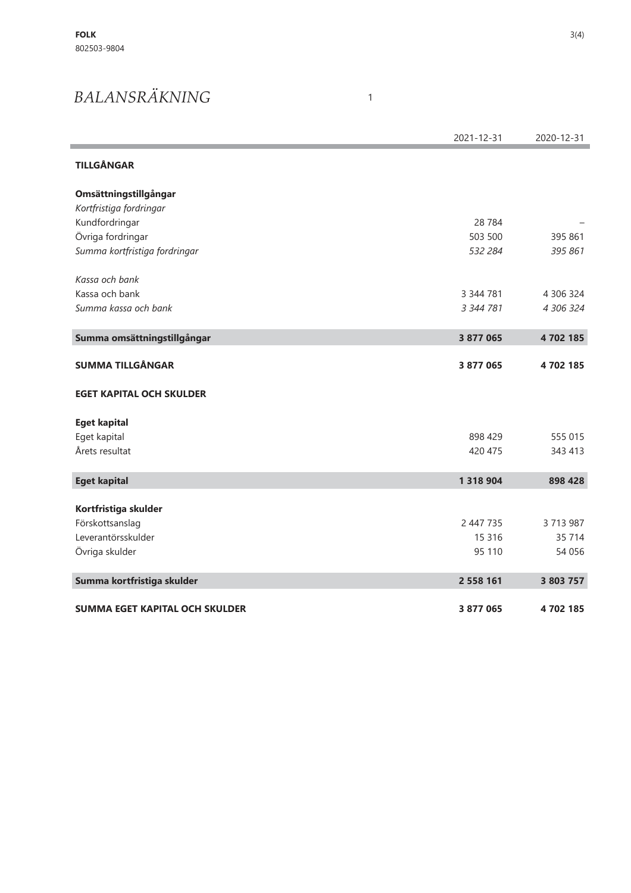## BALANSRÄKNING

|                                       | 2021-12-31    | 2020-12-31 |
|---------------------------------------|---------------|------------|
| <b>TILLGÅNGAR</b>                     |               |            |
| Omsättningstillgångar                 |               |            |
| Kortfristiga fordringar               |               |            |
| Kundfordringar                        | 28 7 84       |            |
| Övriga fordringar                     | 503 500       | 395 861    |
| Summa kortfristiga fordringar         | 532 284       | 395 861    |
| Kassa och bank                        |               |            |
| Kassa och bank                        | 3 344 781     | 4 306 324  |
| Summa kassa och bank                  | 3 344 781     | 4 306 324  |
| Summa omsättningstillgångar           | 3 877 065     | 4702185    |
| <b>SUMMA TILLGÅNGAR</b>               | 3 877 065     | 4702185    |
| <b>EGET KAPITAL OCH SKULDER</b>       |               |            |
| <b>Eget kapital</b>                   |               |            |
| Eget kapital                          | 898 429       | 555 015    |
| Årets resultat                        | 420 475       | 343 413    |
| <b>Eget kapital</b>                   | 1 3 1 8 9 0 4 | 898 428    |
| Kortfristiga skulder                  |               |            |
| Förskottsanslag                       | 2 447 735     | 3 713 987  |
| Leverantörsskulder                    | 15 3 16       | 35 714     |
| Övriga skulder                        | 95 110        | 54 056     |
| Summa kortfristiga skulder            | 2 558 161     | 3 803 757  |
| <b>SUMMA EGET KAPITAL OCH SKULDER</b> | 3 877 065     | 4702185    |

 $\mathbf{1}$